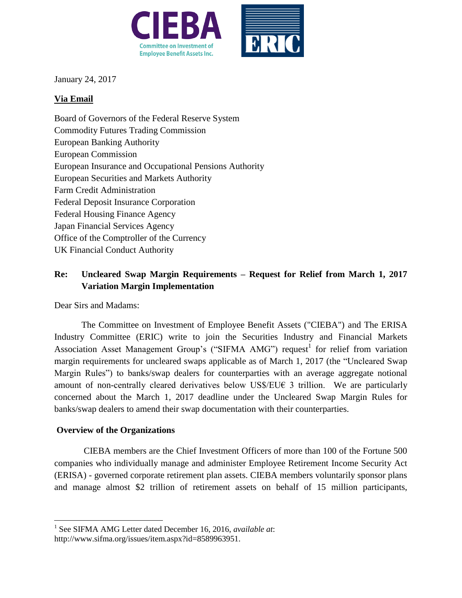



January 24, 2017

## **Via Email**

Board of Governors of the Federal Reserve System Commodity Futures Trading Commission European Banking Authority European Commission European Insurance and Occupational Pensions Authority European Securities and Markets Authority Farm Credit Administration Federal Deposit Insurance Corporation Federal Housing Finance Agency Japan Financial Services Agency Office of the Comptroller of the Currency UK Financial Conduct Authority

## **Re: Uncleared Swap Margin Requirements – Request for Relief from March 1, 2017 Variation Margin Implementation**

Dear Sirs and Madams:

The Committee on Investment of Employee Benefit Assets ("CIEBA") and The ERISA Industry Committee (ERIC) write to join the Securities Industry and Financial Markets Association Asset Management Group's ("SIFMA AMG") request<sup>1</sup> for relief from variation margin requirements for uncleared swaps applicable as of March 1, 2017 (the "Uncleared Swap Margin Rules") to banks/swap dealers for counterparties with an average aggregate notional amount of non-centrally cleared derivatives below US\$/EU $\epsilon$  3 trillion. We are particularly concerned about the March 1, 2017 deadline under the Uncleared Swap Margin Rules for banks/swap dealers to amend their swap documentation with their counterparties.

## **Overview of the Organizations**

 $\overline{\phantom{a}}$ 

CIEBA members are the Chief Investment Officers of more than 100 of the Fortune 500 companies who individually manage and administer Employee Retirement Income Security Act (ERISA) - governed corporate retirement plan assets. CIEBA members voluntarily sponsor plans and manage almost \$2 trillion of retirement assets on behalf of 15 million participants,

<sup>1</sup> See SIFMA AMG Letter dated December 16, 2016, *available at*:

http://www.sifma.org/issues/item.aspx?id=8589963951.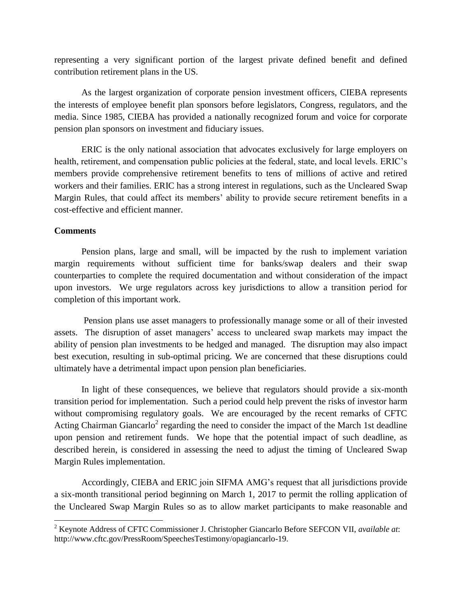representing a very significant portion of the largest private defined benefit and defined contribution retirement plans in the US.

As the largest organization of corporate pension investment officers, CIEBA represents the interests of employee benefit plan sponsors before legislators, Congress, regulators, and the media. Since 1985, CIEBA has provided a nationally recognized forum and voice for corporate pension plan sponsors on investment and fiduciary issues.

ERIC is the only national association that advocates exclusively for large employers on health, retirement, and compensation public policies at the federal, state, and local levels. ERIC's members provide comprehensive retirement benefits to tens of millions of active and retired workers and their families. ERIC has a strong interest in regulations, such as the Uncleared Swap Margin Rules, that could affect its members' ability to provide secure retirement benefits in a cost-effective and efficient manner.

## **Comments**

 $\overline{\phantom{a}}$ 

Pension plans, large and small, will be impacted by the rush to implement variation margin requirements without sufficient time for banks/swap dealers and their swap counterparties to complete the required documentation and without consideration of the impact upon investors. We urge regulators across key jurisdictions to allow a transition period for completion of this important work.

Pension plans use asset managers to professionally manage some or all of their invested assets. The disruption of asset managers' access to uncleared swap markets may impact the ability of pension plan investments to be hedged and managed. The disruption may also impact best execution, resulting in sub-optimal pricing. We are concerned that these disruptions could ultimately have a detrimental impact upon pension plan beneficiaries.

In light of these consequences, we believe that regulators should provide a six-month transition period for implementation. Such a period could help prevent the risks of investor harm without compromising regulatory goals. We are encouraged by the recent remarks of CFTC Acting Chairman Giancarlo<sup>2</sup> regarding the need to consider the impact of the March 1st deadline upon pension and retirement funds. We hope that the potential impact of such deadline, as described herein, is considered in assessing the need to adjust the timing of Uncleared Swap Margin Rules implementation.

Accordingly, CIEBA and ERIC join SIFMA AMG's request that all jurisdictions provide a six-month transitional period beginning on March 1, 2017 to permit the rolling application of the Uncleared Swap Margin Rules so as to allow market participants to make reasonable and

<sup>2</sup> Keynote Address of CFTC Commissioner J. Christopher Giancarlo Before SEFCON VII, *available at*: http://www.cftc.gov/PressRoom/SpeechesTestimony/opagiancarlo-19.